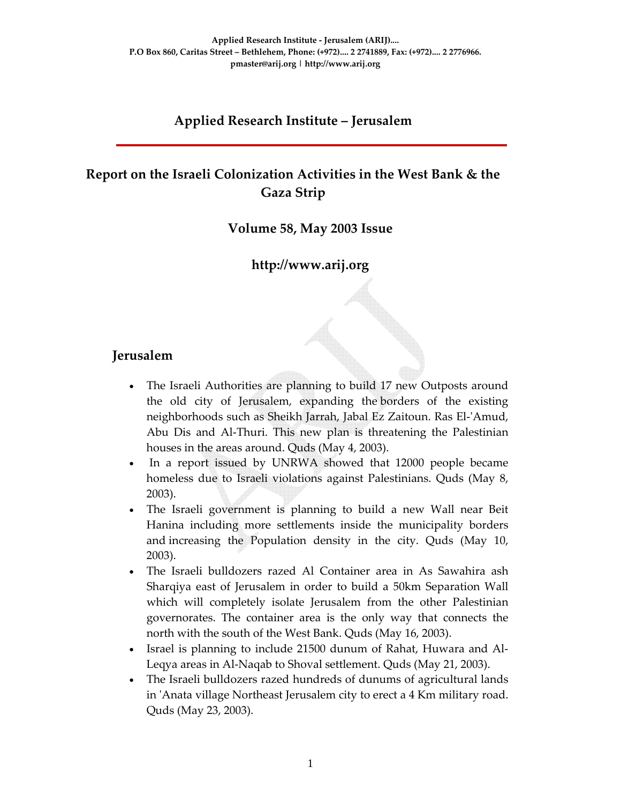#### **Applied Research Institute – Jerusalem**

## **Report on the Israeli Colonization Activities in the West Bank & the Gaza Strip**

#### **Volume 58, May 2003 Issue**

#### **http://www.arij.org**

#### **Jerusalem**

- The Israeli Authorities are planning to build 17 new Outposts around the old city of Jerusalem, expanding the borders of the existing neighborhoods such as Sheikh Jarrah, Jabal Ez Zaitoun. Ras El‐ʹAmud, Abu Dis and Al‐Thuri. This new plan is threatening the Palestinian houses in the areas around. Quds (May 4, 2003).
- In a report issued by UNRWA showed that 12000 people became homeless due to Israeli violations against Palestinians. Quds (May 8, 2003).
- The Israeli government is planning to build a new Wall near Beit Hanina including more settlements inside the municipality borders and increasing the Population density in the city. Quds (May 10, 2003).
- The Israeli bulldozers razed Al Container area in As Sawahira ash Sharqiya east of Jerusalem in order to build a 50km Separation Wall which will completely isolate Jerusalem from the other Palestinian governorates. The container area is the only way that connects the north with the south of the West Bank. Quds (May 16, 2003).
- Israel is planning to include 21500 dunum of Rahat, Huwara and Al‐ Leqya areas in Al‐Naqab to Shoval settlement. Quds (May 21, 2003).
- The Israeli bulldozers razed hundreds of dunums of agricultural lands in 'Anata village Northeast Jerusalem city to erect a 4 Km military road. Quds (May 23, 2003).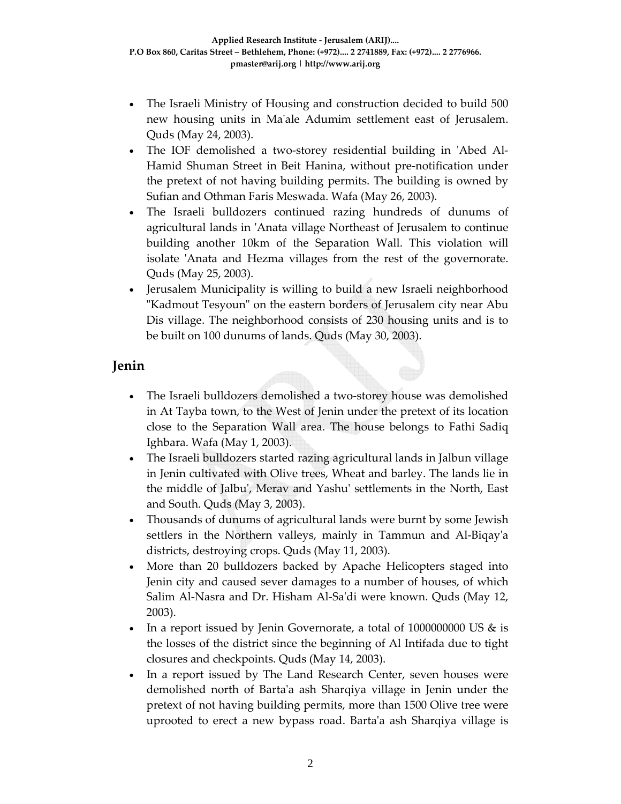- The Israeli Ministry of Housing and construction decided to build 500 new housing units in Maʹale Adumim settlement east of Jerusalem. Quds (May 24, 2003).
- The IOF demolished a two-storey residential building in 'Abed Al-Hamid Shuman Street in Beit Hanina, without pre‐notification under the pretext of not having building permits. The building is owned by Sufian and Othman Faris Meswada. Wafa (May 26, 2003).
- The Israeli bulldozers continued razing hundreds of dunums of agricultural lands in ʹAnata village Northeast of Jerusalem to continue building another 10km of the Separation Wall. This violation will isolate 'Anata and Hezma villages from the rest of the governorate. Quds (May 25, 2003).
- Jerusalem Municipality is willing to build a new Israeli neighborhood "Kadmout Tesyoun" on the eastern borders of Jerusalem city near Abu Dis village. The neighborhood consists of 230 housing units and is to be built on 100 dunums of lands. Quds (May 30, 2003).

### **Jenin**

- The Israeli bulldozers demolished a two-storey house was demolished in At Tayba town, to the West of Jenin under the pretext of its location close to the Separation Wall area. The house belongs to Fathi Sadiq Ighbara. Wafa (May 1, 2003).
- The Israeli bulldozers started razing agricultural lands in Jalbun village in Jenin cultivated with Olive trees, Wheat and barley. The lands lie in the middle of Jalbuʹ, Merav and Yashuʹ settlements in the North, East and South. Quds (May 3, 2003).
- Thousands of dunums of agricultural lands were burnt by some Jewish settlers in the Northern valleys, mainly in Tammun and Al-Biqay'a districts, destroying crops. Quds (May 11, 2003).
- More than 20 bulldozers backed by Apache Helicopters staged into Jenin city and caused sever damages to a number of houses, of which Salim Al‐Nasra and Dr. Hisham Al‐Saʹdi were known. Quds (May 12, 2003).
- In a report issued by Jenin Governorate, a total of 1000000000 US & is the losses of the district since the beginning of Al Intifada due to tight closures and checkpoints. Quds (May 14, 2003).
- In a report issued by The Land Research Center, seven houses were demolished north of Bartaʹa ash Sharqiya village in Jenin under the pretext of not having building permits, more than 1500 Olive tree were uprooted to erect a new bypass road. Bartaʹa ash Sharqiya village is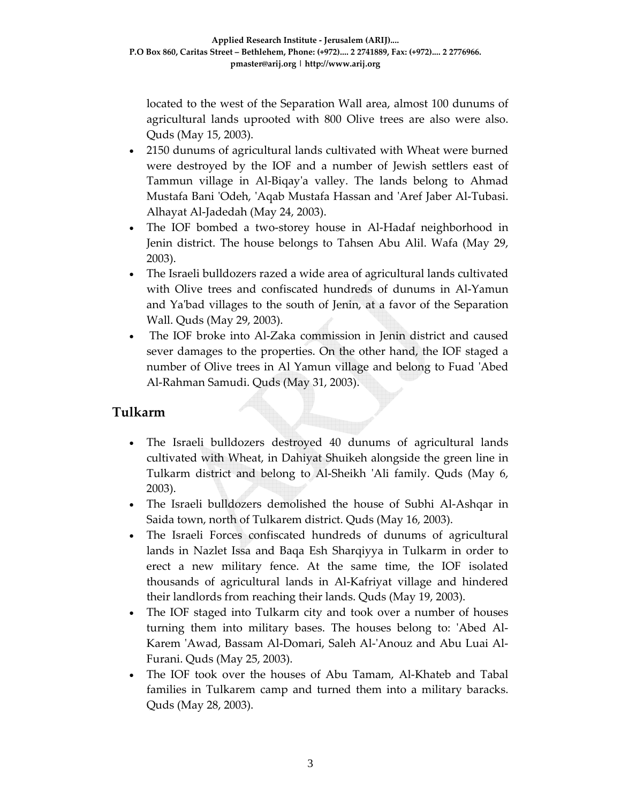located to the west of the Separation Wall area, almost 100 dunums of agricultural lands uprooted with 800 Olive trees are also were also. Quds (May 15, 2003).

- 2150 dunums of agricultural lands cultivated with Wheat were burned were destroyed by the IOF and a number of Jewish settlers east of Tammun village in Al‐Biqayʹa valley. The lands belong to Ahmad Mustafa Bani ʹOdeh, ʹAqab Mustafa Hassan and ʹAref Jaber Al‐Tubasi. Alhayat Al‐Jadedah (May 24, 2003).
- The IOF bombed a two-storey house in Al-Hadaf neighborhood in Jenin district. The house belongs to Tahsen Abu Alil. Wafa (May 29, 2003).
- The Israeli bulldozers razed a wide area of agricultural lands cultivated with Olive trees and confiscated hundreds of dunums in Al‐Yamun and Yaʹbad villages to the south of Jenin, at a favor of the Separation Wall. Quds (May 29, 2003).
- The IOF broke into Al-Zaka commission in Jenin district and caused sever damages to the properties. On the other hand, the IOF staged a number of Olive trees in Al Yamun village and belong to Fuad ʹAbed Al‐Rahman Samudi. Quds (May 31, 2003).

### **Tulkarm**

- The Israeli bulldozers destroyed 40 dunums of agricultural lands cultivated with Wheat, in Dahiyat Shuikeh alongside the green line in Tulkarm district and belong to Al-Sheikh 'Ali family. Quds (May 6, 2003).
- The Israeli bulldozers demolished the house of Subhi Al‐Ashqar in Saida town, north of Tulkarem district. Quds (May 16, 2003).
- The Israeli Forces confiscated hundreds of dunums of agricultural lands in Nazlet Issa and Baqa Esh Sharqiyya in Tulkarm in order to erect a new military fence. At the same time, the IOF isolated thousands of agricultural lands in Al‐Kafriyat village and hindered their landlords from reaching their lands. Quds (May 19, 2003).
- The IOF staged into Tulkarm city and took over a number of houses turning them into military bases. The houses belong to: ʹAbed Al‐ Karem ʹAwad, Bassam Al‐Domari, Saleh Al‐ʹAnouz and Abu Luai Al‐ Furani. Quds (May 25, 2003).
- The IOF took over the houses of Abu Tamam, Al‐Khateb and Tabal families in Tulkarem camp and turned them into a military baracks. Quds (May 28, 2003).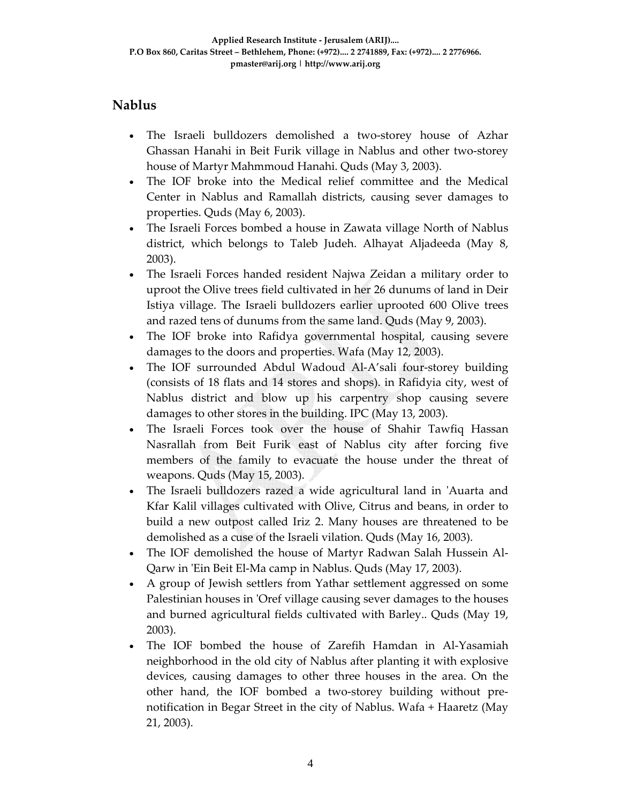### **Nablus**

- The Israeli bulldozers demolished a two-storey house of Azhar Ghassan Hanahi in Beit Furik village in Nablus and other two‐storey house of Martyr Mahmmoud Hanahi. Quds (May 3, 2003).
- The IOF broke into the Medical relief committee and the Medical Center in Nablus and Ramallah districts, causing sever damages to properties. Quds (May 6, 2003).
- The Israeli Forces bombed a house in Zawata village North of Nablus district, which belongs to Taleb Judeh. Alhayat Aljadeeda (May 8, 2003).
- The Israeli Forces handed resident Najwa Zeidan a military order to uproot the Olive trees field cultivated in her 26 dunums of land in Deir Istiya village. The Israeli bulldozers earlier uprooted 600 Olive trees and razed tens of dunums from the same land. Quds (May 9, 2003).
- The IOF broke into Rafidya governmental hospital, causing severe damages to the doors and properties. Wafa (May 12, 2003).
- The IOF surrounded Abdul Wadoud Al‐A'sali four‐storey building (consists of 18 flats and 14 stores and shops). in Rafidyia city, west of Nablus district and blow up his carpentry shop causing severe damages to other stores in the building. IPC (May 13, 2003).
- The Israeli Forces took over the house of Shahir Tawfiq Hassan Nasrallah from Beit Furik east of Nablus city after forcing five members of the family to evacuate the house under the threat of weapons. Quds (May 15, 2003).
- The Israeli bulldozers razed a wide agricultural land in 'Auarta and Kfar Kalil villages cultivated with Olive, Citrus and beans, in order to build a new outpost called Iriz 2. Many houses are threatened to be demolished as a cuse of the Israeli vilation. Quds (May 16, 2003).
- The IOF demolished the house of Martyr Radwan Salah Hussein Al‐ Qarw in 'Ein Beit El-Ma camp in Nablus. Quds (May 17, 2003).
- A group of Jewish settlers from Yathar settlement aggressed on some Palestinian houses in 'Oref village causing sever damages to the houses and burned agricultural fields cultivated with Barley.. Quds (May 19, 2003).
- The IOF bombed the house of Zarefih Hamdan in Al‐Yasamiah neighborhood in the old city of Nablus after planting it with explosive devices, causing damages to other three houses in the area. On the other hand, the IOF bombed a two‐storey building without pre‐ notification in Begar Street in the city of Nablus. Wafa + Haaretz (May 21, 2003).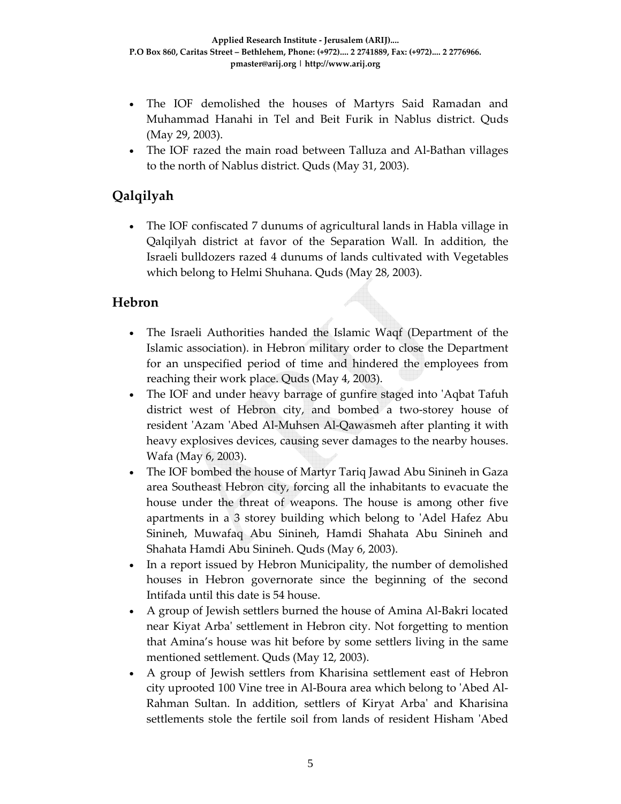- The IOF demolished the houses of Martyrs Said Ramadan and Muhammad Hanahi in Tel and Beit Furik in Nablus district. Quds (May 29, 2003).
- The IOF razed the main road between Talluza and Al‐Bathan villages to the north of Nablus district. Quds (May 31, 2003).

# **Qalqilyah**

• The IOF confiscated 7 dunums of agricultural lands in Habla village in Qalqilyah district at favor of the Separation Wall. In addition, the Israeli bulldozers razed 4 dunums of lands cultivated with Vegetables which belong to Helmi Shuhana. Quds (May 28, 2003).

#### **Hebron**

- The Israeli Authorities handed the Islamic Waqf (Department of the Islamic association). in Hebron military order to close the Department for an unspecified period of time and hindered the employees from reaching their work place. Quds (May 4, 2003).
- The IOF and under heavy barrage of gunfire staged into ʹAqbat Tafuh district west of Hebron city, and bombed a two‐storey house of resident ʹAzam ʹAbed Al‐Muhsen Al‐Qawasmeh after planting it with heavy explosives devices, causing sever damages to the nearby houses. Wafa (May 6, 2003).
- The IOF bombed the house of Martyr Tariq Jawad Abu Sinineh in Gaza area Southeast Hebron city, forcing all the inhabitants to evacuate the house under the threat of weapons. The house is among other five apartments in a 3 storey building which belong to ʹAdel Hafez Abu Sinineh, Muwafaq Abu Sinineh, Hamdi Shahata Abu Sinineh and Shahata Hamdi Abu Sinineh. Quds (May 6, 2003).
- In a report issued by Hebron Municipality, the number of demolished houses in Hebron governorate since the beginning of the second Intifada until this date is 54 house.
- A group of Jewish settlers burned the house of Amina Al‐Bakri located near Kiyat Arbaʹ settlement in Hebron city. Not forgetting to mention that Amina's house was hit before by some settlers living in the same mentioned settlement. Quds (May 12, 2003).
- A group of Jewish settlers from Kharisina settlement east of Hebron city uprooted 100 Vine tree in Al‐Boura area which belong to ʹAbed Al‐ Rahman Sultan. In addition, settlers of Kiryat Arbaʹ and Kharisina settlements stole the fertile soil from lands of resident Hisham 'Abed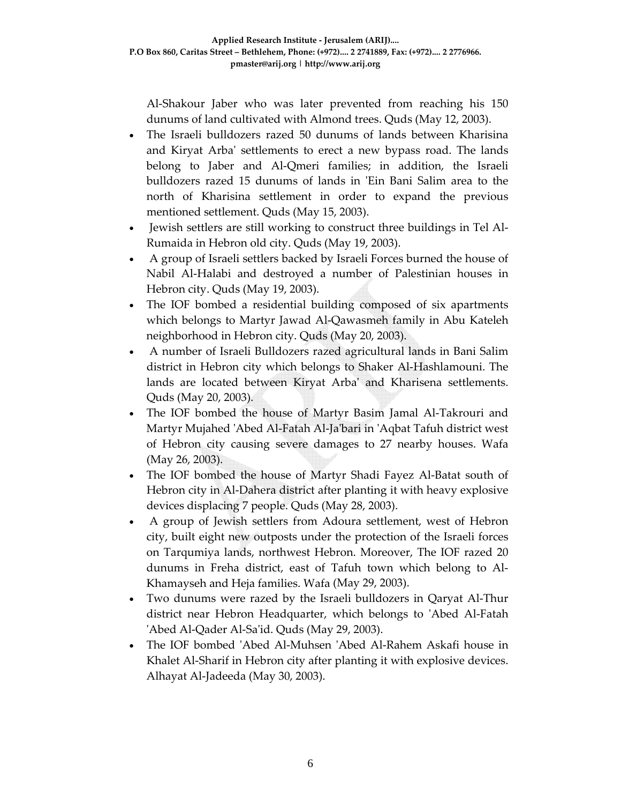Al‐Shakour Jaber who was later prevented from reaching his 150 dunums of land cultivated with Almond trees. Quds (May 12, 2003).

- The Israeli bulldozers razed 50 dunums of lands between Kharisina and Kiryat Arbaʹ settlements to erect a new bypass road. The lands belong to Jaber and Al‐Qmeri families; in addition, the Israeli bulldozers razed 15 dunums of lands in ʹEin Bani Salim area to the north of Kharisina settlement in order to expand the previous mentioned settlement. Quds (May 15, 2003).
- Jewish settlers are still working to construct three buildings in Tel Al-Rumaida in Hebron old city. Quds (May 19, 2003).
- A group of Israeli settlers backed by Israeli Forces burned the house of Nabil Al‐Halabi and destroyed a number of Palestinian houses in Hebron city. Quds (May 19, 2003).
- The IOF bombed a residential building composed of six apartments which belongs to Martyr Jawad Al‐Qawasmeh family in Abu Kateleh neighborhood in Hebron city. Quds (May 20, 2003).
- A number of Israeli Bulldozers razed agricultural lands in Bani Salim district in Hebron city which belongs to Shaker Al‐Hashlamouni. The lands are located between Kiryat Arbaʹ and Kharisena settlements. Quds (May 20, 2003).
- The IOF bombed the house of Martyr Basim Jamal Al‐Takrouri and Martyr Mujahed ʹAbed Al‐Fatah Al‐Jaʹbari in ʹAqbat Tafuh district west of Hebron city causing severe damages to 27 nearby houses. Wafa (May 26, 2003).
- The IOF bombed the house of Martyr Shadi Fayez Al-Batat south of Hebron city in Al-Dahera district after planting it with heavy explosive devices displacing 7 people. Quds (May 28, 2003).
- A group of Jewish settlers from Adoura settlement, west of Hebron city, built eight new outposts under the protection of the Israeli forces on Tarqumiya lands, northwest Hebron. Moreover, The IOF razed 20 dunums in Freha district, east of Tafuh town which belong to Al‐ Khamayseh and Heja families. Wafa (May 29, 2003).
- Two dunums were razed by the Israeli bulldozers in Qaryat Al‐Thur district near Hebron Headquarter, which belongs to 'Abed Al-Fatah ʹAbed Al‐Qader Al‐Saʹid. Quds (May 29, 2003).
- The IOF bombed ʹAbed Al‐Muhsen ʹAbed Al‐Rahem Askafi house in Khalet Al-Sharif in Hebron city after planting it with explosive devices. Alhayat Al‐Jadeeda (May 30, 2003).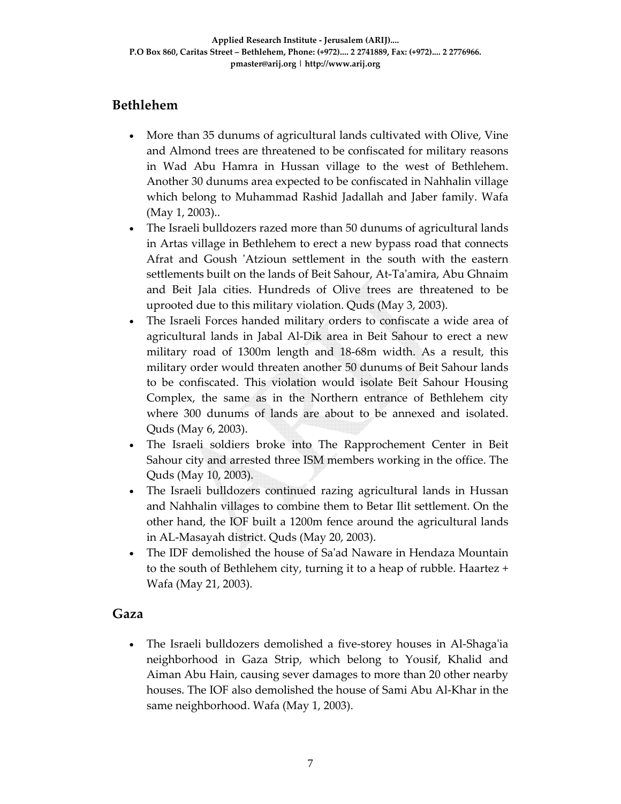## **Bethlehem**

- More than 35 dunums of agricultural lands cultivated with Olive, Vine and Almond trees are threatened to be confiscated for military reasons in Wad Abu Hamra in Hussan village to the west of Bethlehem. Another 30 dunums area expected to be confiscated in Nahhalin village which belong to Muhammad Rashid Jadallah and Jaber family. Wafa (May 1, 2003)..
- The Israeli bulldozers razed more than 50 dunums of agricultural lands in Artas village in Bethlehem to erect a new bypass road that connects Afrat and Goush 'Atzioun settlement in the south with the eastern settlements built on the lands of Beit Sahour, At‐Taʹamira, Abu Ghnaim and Beit Jala cities. Hundreds of Olive trees are threatened to be uprooted due to this military violation. Quds (May 3, 2003).
- The Israeli Forces handed military orders to confiscate a wide area of agricultural lands in Jabal Al‐Dik area in Beit Sahour to erect a new military road of 1300m length and 18‐68m width. As a result, this military order would threaten another 50 dunums of Beit Sahour lands to be confiscated. This violation would isolate Beit Sahour Housing Complex, the same as in the Northern entrance of Bethlehem city where 300 dunums of lands are about to be annexed and isolated. Quds (May 6, 2003).
- The Israeli soldiers broke into The Rapprochement Center in Beit Sahour city and arrested three ISM members working in the office. The Quds (May 10, 2003).
- The Israeli bulldozers continued razing agricultural lands in Hussan and Nahhalin villages to combine them to Betar Ilit settlement. On the other hand, the IOF built a 1200m fence around the agricultural lands in AL‐Masayah district. Quds (May 20, 2003).
- The IDF demolished the house of Sa'ad Naware in Hendaza Mountain to the south of Bethlehem city, turning it to a heap of rubble. Haartez + Wafa (May 21, 2003).

#### **Gaza**

• The Israeli bulldozers demolished a five-storey houses in Al-Shaga'ia neighborhood in Gaza Strip, which belong to Yousif, Khalid and Aiman Abu Hain, causing sever damages to more than 20 other nearby houses. The IOF also demolished the house of Sami Abu Al‐Khar in the same neighborhood. Wafa (May 1, 2003).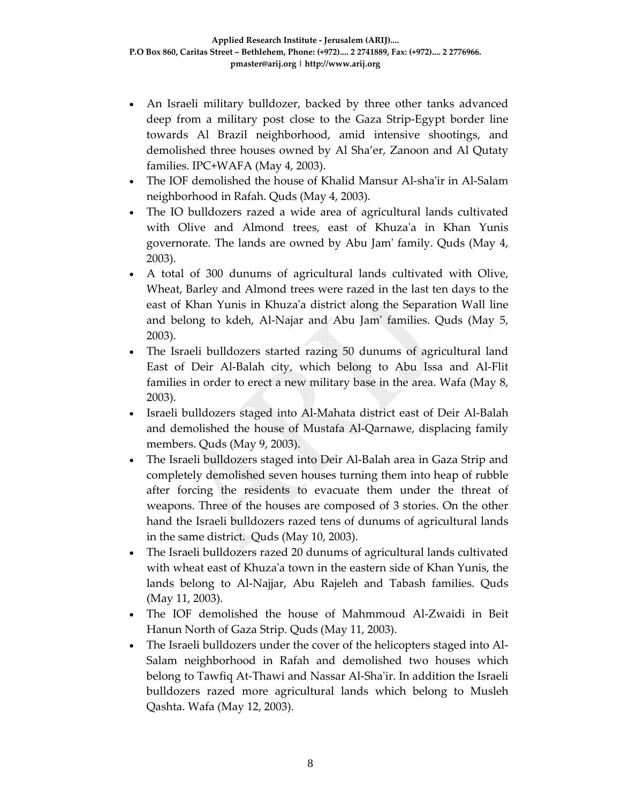- An Israeli military bulldozer, backed by three other tanks advanced deep from a military post close to the Gaza Strip‐Egypt border line towards Al Brazil neighborhood, amid intensive shootings, and demolished three houses owned by Al Sha'er, Zanoon and Al Qutaty families. IPC+WAFA (May 4, 2003).
- The IOF demolished the house of Khalid Mansur Al‐shaʹir in Al‐Salam neighborhood in Rafah. Quds (May 4, 2003).
- The IO bulldozers razed a wide area of agricultural lands cultivated with Olive and Almond trees, east of Khuza'a in Khan Yunis governorate. The lands are owned by Abu Jamʹ family. Quds (May 4, 2003).
- A total of 300 dunums of agricultural lands cultivated with Olive, Wheat, Barley and Almond trees were razed in the last ten days to the east of Khan Yunis in Khuzaʹa district along the Separation Wall line and belong to kdeh, Al‐Najar and Abu Jamʹ families. Quds (May 5, 2003).
- The Israeli bulldozers started razing 50 dunums of agricultural land East of Deir Al‐Balah city, which belong to Abu Issa and Al‐Flit families in order to erect a new military base in the area. Wafa (May 8, 2003).
- Israeli bulldozers staged into Al‐Mahata district east of Deir Al‐Balah and demolished the house of Mustafa Al‐Qarnawe, displacing family members. Quds (May 9, 2003).
- The Israeli bulldozers staged into Deir Al‐Balah area in Gaza Strip and completely demolished seven houses turning them into heap of rubble after forcing the residents to evacuate them under the threat of weapons. Three of the houses are composed of 3 stories. On the other hand the Israeli bulldozers razed tens of dunums of agricultural lands in the same district. Quds (May 10, 2003).
- The Israeli bulldozers razed 20 dunums of agricultural lands cultivated with wheat east of Khuza'a town in the eastern side of Khan Yunis, the lands belong to Al‐Najjar, Abu Rajeleh and Tabash families. Quds (May 11, 2003).
- The IOF demolished the house of Mahmmoud Al‐Zwaidi in Beit Hanun North of Gaza Strip. Quds (May 11, 2003).
- The Israeli bulldozers under the cover of the helicopters staged into Al-Salam neighborhood in Rafah and demolished two houses which belong to Tawfiq At-Thawi and Nassar Al-Sha'ir. In addition the Israeli bulldozers razed more agricultural lands which belong to Musleh Qashta. Wafa (May 12, 2003).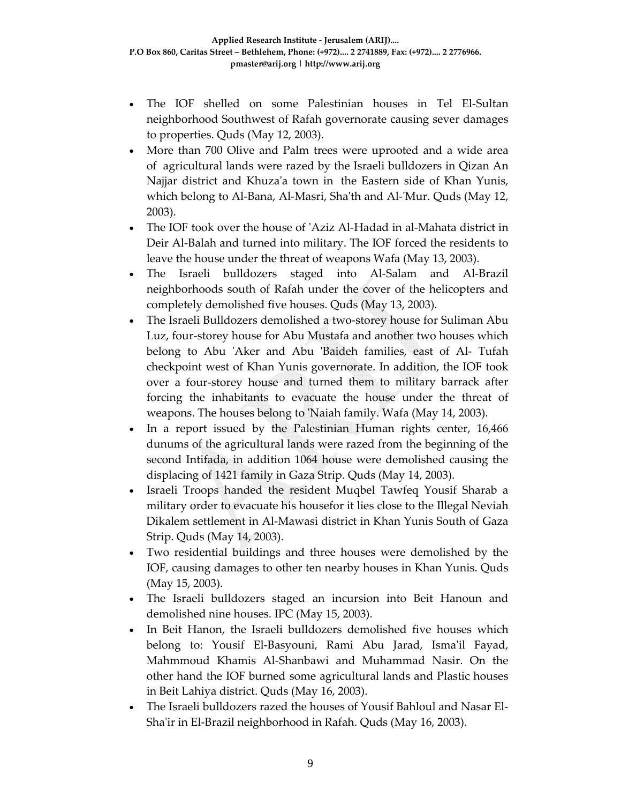- The IOF shelled on some Palestinian houses in Tel El‐Sultan neighborhood Southwest of Rafah governorate causing sever damages to properties. Quds (May 12, 2003).
- More than 700 Olive and Palm trees were uprooted and a wide area of agricultural lands were razed by the Israeli bulldozers in Qizan An Najjar district and Khuza'a town in the Eastern side of Khan Yunis, which belong to Al-Bana, Al-Masri, Sha'th and Al-'Mur. Quds (May 12, 2003).
- The IOF took over the house of ʹAziz Al‐Hadad in al‐Mahata district in Deir Al‐Balah and turned into military. The IOF forced the residents to leave the house under the threat of weapons Wafa (May 13, 2003).
- The Israeli bulldozers staged into Al‐Salam and Al‐Brazil neighborhoods south of Rafah under the cover of the helicopters and completely demolished five houses. Quds (May 13, 2003).
- The Israeli Bulldozers demolished a two‐storey house for Suliman Abu Luz, four‐storey house for Abu Mustafa and another two houses which belong to Abu 'Aker and Abu 'Baideh families, east of Al- Tufah checkpoint west of Khan Yunis governorate. In addition, the IOF took over a four‐storey house and turned them to military barrack after forcing the inhabitants to evacuate the house under the threat of weapons. The houses belong to 'Naiah family. Wafa (May 14, 2003).
- In a report issued by the Palestinian Human rights center, 16,466 dunums of the agricultural lands were razed from the beginning of the second Intifada, in addition 1064 house were demolished causing the displacing of 1421 family in Gaza Strip. Quds (May 14, 2003).
- Israeli Troops handed the resident Muqbel Tawfeq Yousif Sharab a military order to evacuate his housefor it lies close to the Illegal Neviah Dikalem settlement in Al‐Mawasi district in Khan Yunis South of Gaza Strip. Quds (May 14, 2003).
- Two residential buildings and three houses were demolished by the IOF, causing damages to other ten nearby houses in Khan Yunis. Quds (May 15, 2003).
- The Israeli bulldozers staged an incursion into Beit Hanoun and demolished nine houses. IPC (May 15, 2003).
- In Beit Hanon, the Israeli bulldozers demolished five houses which belong to: Yousif El‐Basyouni, Rami Abu Jarad, Ismaʹil Fayad, Mahmmoud Khamis Al‐Shanbawi and Muhammad Nasir. On the other hand the IOF burned some agricultural lands and Plastic houses in Beit Lahiya district. Quds (May 16, 2003).
- The Israeli bulldozers razed the houses of Yousif Bahloul and Nasar El‐ Sha'ir in El-Brazil neighborhood in Rafah. Quds (May 16, 2003).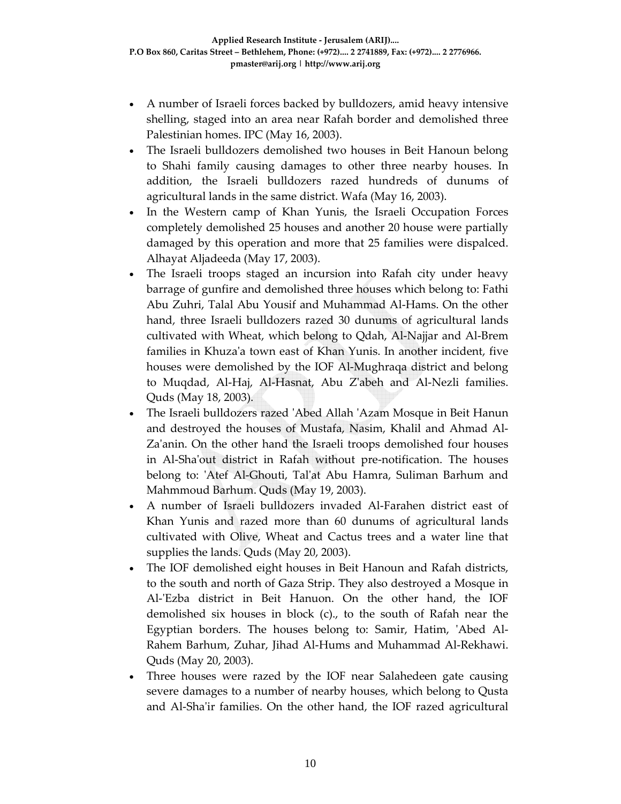- A number of Israeli forces backed by bulldozers, amid heavy intensive shelling, staged into an area near Rafah border and demolished three Palestinian homes. IPC (May 16, 2003).
- The Israeli bulldozers demolished two houses in Beit Hanoun belong to Shahi family causing damages to other three nearby houses. In addition, the Israeli bulldozers razed hundreds of dunums of agricultural lands in the same district. Wafa (May 16, 2003).
- In the Western camp of Khan Yunis, the Israeli Occupation Forces completely demolished 25 houses and another 20 house were partially damaged by this operation and more that 25 families were dispalced. Alhayat Aljadeeda (May 17, 2003).
- The Israeli troops staged an incursion into Rafah city under heavy barrage of gunfire and demolished three houses which belong to: Fathi Abu Zuhri, Talal Abu Yousif and Muhammad Al‐Hams. On the other hand, three Israeli bulldozers razed 30 dunums of agricultural lands cultivated with Wheat, which belong to Qdah, Al‐Najjar and Al‐Brem families in Khuzaʹa town east of Khan Yunis. In another incident, five houses were demolished by the IOF Al‐Mughraqa district and belong to Muqdad, Al‐Haj, Al‐Hasnat, Abu Zʹabeh and Al‐Nezli families. Quds (May 18, 2003).
- The Israeli bulldozers razed 'Abed Allah 'Azam Mosque in Beit Hanun and destroyed the houses of Mustafa, Nasim, Khalil and Ahmad Al‐ Za'anin. On the other hand the Israeli troops demolished four houses in Al‐Shaʹout district in Rafah without pre‐notification. The houses belong to: 'Atef Al-Ghouti, Tal'at Abu Hamra, Suliman Barhum and Mahmmoud Barhum. Quds (May 19, 2003).
- A number of Israeli bulldozers invaded Al‐Farahen district east of Khan Yunis and razed more than 60 dunums of agricultural lands cultivated with Olive, Wheat and Cactus trees and a water line that supplies the lands. Quds (May 20, 2003).
- The IOF demolished eight houses in Beit Hanoun and Rafah districts, to the south and north of Gaza Strip. They also destroyed a Mosque in Al-'Ezba district in Beit Hanuon. On the other hand, the IOF demolished six houses in block (c)., to the south of Rafah near the Egyptian borders. The houses belong to: Samir, Hatim, 'Abed Al-Rahem Barhum, Zuhar, Jihad Al‐Hums and Muhammad Al‐Rekhawi. Quds (May 20, 2003).
- Three houses were razed by the IOF near Salahedeen gate causing severe damages to a number of nearby houses, which belong to Qusta and Al‐Shaʹir families. On the other hand, the IOF razed agricultural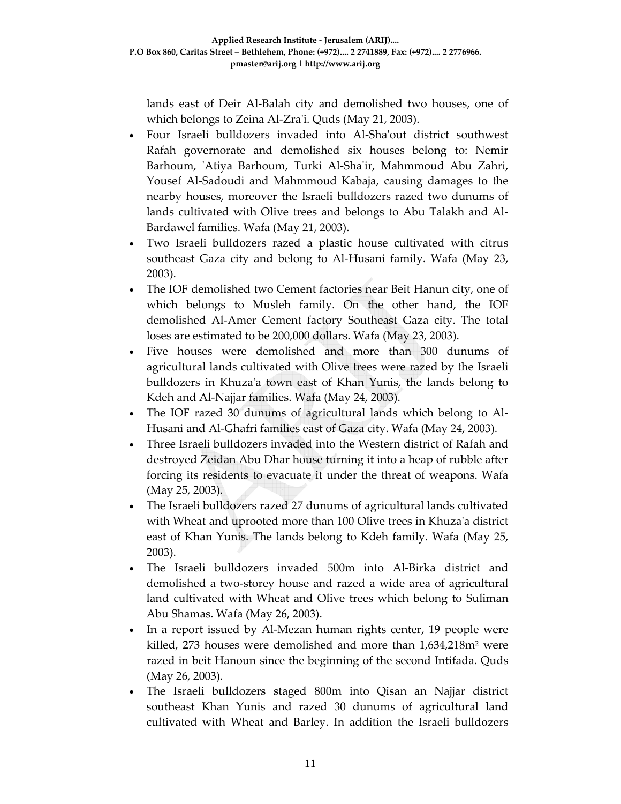lands east of Deir Al‐Balah city and demolished two houses, one of which belongs to Zeina Al-Zra'i. Quds (May 21, 2003).

- Four Israeli bulldozers invaded into Al-Sha'out district southwest Rafah governorate and demolished six houses belong to: Nemir Barhoum, ʹAtiya Barhoum, Turki Al‐Shaʹir, Mahmmoud Abu Zahri, Yousef Al‐Sadoudi and Mahmmoud Kabaja, causing damages to the nearby houses, moreover the Israeli bulldozers razed two dunums of lands cultivated with Olive trees and belongs to Abu Talakh and Al‐ Bardawel families. Wafa (May 21, 2003).
- Two Israeli bulldozers razed a plastic house cultivated with citrus southeast Gaza city and belong to Al-Husani family. Wafa (May 23, 2003).
- The IOF demolished two Cement factories near Beit Hanun city, one of which belongs to Musleh family. On the other hand, the IOF demolished Al‐Amer Cement factory Southeast Gaza city. The total loses are estimated to be 200,000 dollars. Wafa (May 23, 2003).
- Five houses were demolished and more than 300 dunums of agricultural lands cultivated with Olive trees were razed by the Israeli bulldozers in Khuzaʹa town east of Khan Yunis, the lands belong to Kdeh and Al‐Najjar families. Wafa (May 24, 2003).
- The IOF razed 30 dunums of agricultural lands which belong to Al-Husani and Al‐Ghafri families east of Gaza city. Wafa (May 24, 2003).
- Three Israeli bulldozers invaded into the Western district of Rafah and destroyed Zeidan Abu Dhar house turning it into a heap of rubble after forcing its residents to evacuate it under the threat of weapons. Wafa (May 25, 2003).
- The Israeli bulldozers razed 27 dunums of agricultural lands cultivated with Wheat and uprooted more than 100 Olive trees in Khuza'a district east of Khan Yunis. The lands belong to Kdeh family. Wafa (May 25, 2003).
- The Israeli bulldozers invaded 500m into Al‐Birka district and demolished a two‐storey house and razed a wide area of agricultural land cultivated with Wheat and Olive trees which belong to Suliman Abu Shamas. Wafa (May 26, 2003).
- In a report issued by Al-Mezan human rights center, 19 people were killed, 273 houses were demolished and more than 1,634,218m² were razed in beit Hanoun since the beginning of the second Intifada. Quds (May 26, 2003).
- The Israeli bulldozers staged 800m into Qisan an Najjar district southeast Khan Yunis and razed 30 dunums of agricultural land cultivated with Wheat and Barley. In addition the Israeli bulldozers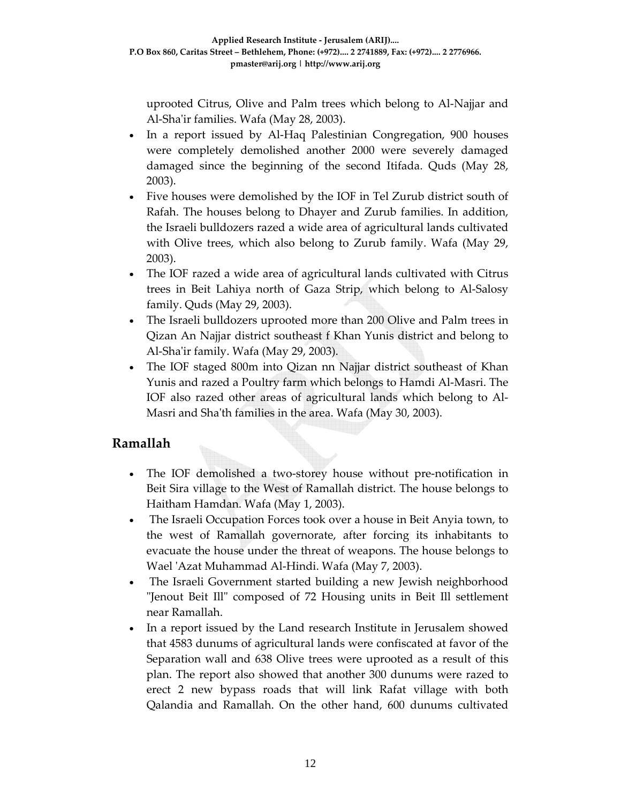uprooted Citrus, Olive and Palm trees which belong to Al‐Najjar and Al‐Shaʹir families. Wafa (May 28, 2003).

- In a report issued by Al-Haq Palestinian Congregation, 900 houses were completely demolished another 2000 were severely damaged damaged since the beginning of the second Itifada. Quds (May 28, 2003).
- Five houses were demolished by the IOF in Tel Zurub district south of Rafah. The houses belong to Dhayer and Zurub families. In addition, the Israeli bulldozers razed a wide area of agricultural lands cultivated with Olive trees, which also belong to Zurub family. Wafa (May 29, 2003).
- The IOF razed a wide area of agricultural lands cultivated with Citrus trees in Beit Lahiya north of Gaza Strip, which belong to Al‐Salosy family. Quds (May 29, 2003).
- The Israeli bulldozers uprooted more than 200 Olive and Palm trees in Qizan An Najjar district southeast f Khan Yunis district and belong to Al‐Shaʹir family. Wafa (May 29, 2003).
- The IOF staged 800m into Qizan nn Najjar district southeast of Khan Yunis and razed a Poultry farm which belongs to Hamdi Al‐Masri. The IOF also razed other areas of agricultural lands which belong to Al‐ Masri and Shaʹth families in the area. Wafa (May 30, 2003).

### **Ramallah**

- The IOF demolished a two-storey house without pre-notification in Beit Sira village to the West of Ramallah district. The house belongs to Haitham Hamdan. Wafa (May 1, 2003).
- The Israeli Occupation Forces took over a house in Beit Anyia town, to the west of Ramallah governorate, after forcing its inhabitants to evacuate the house under the threat of weapons. The house belongs to Wael ʹAzat Muhammad Al‐Hindi. Wafa (May 7, 2003).
- The Israeli Government started building a new Jewish neighborhood "Jenout Beit Ill" composed of 72 Housing units in Beit Ill settlement near Ramallah.
- In a report issued by the Land research Institute in Jerusalem showed that 4583 dunums of agricultural lands were confiscated at favor of the Separation wall and 638 Olive trees were uprooted as a result of this plan. The report also showed that another 300 dunums were razed to erect 2 new bypass roads that will link Rafat village with both Qalandia and Ramallah. On the other hand, 600 dunums cultivated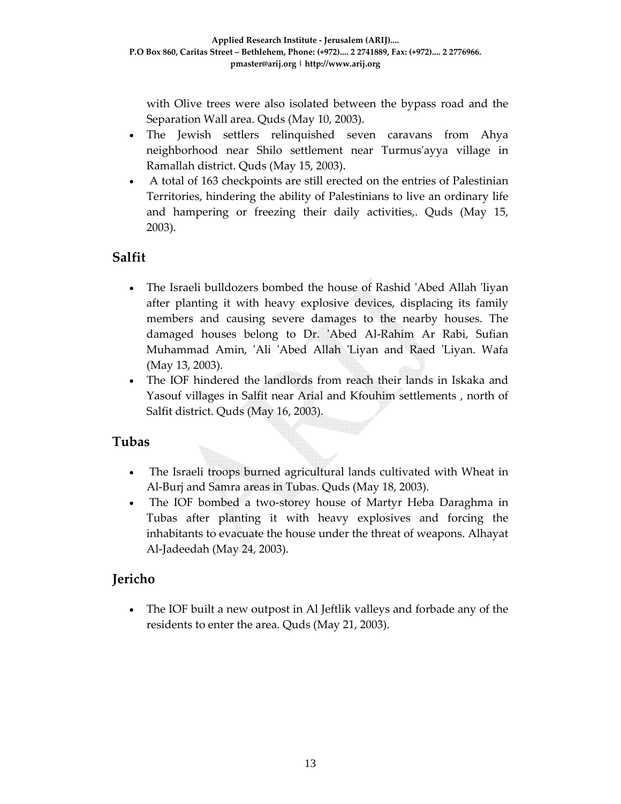with Olive trees were also isolated between the bypass road and the Separation Wall area. Quds (May 10, 2003).

- The Jewish settlers relinquished seven caravans from Ahya neighborhood near Shilo settlement near Turmusʹayya village in Ramallah district. Quds (May 15, 2003).
- A total of 163 checkpoints are still erected on the entries of Palestinian Territories, hindering the ability of Palestinians to live an ordinary life and hampering or freezing their daily activities,. Quds (May 15, 2003).

## **Salfit**

- The Israeli bulldozers bombed the house of Rashid ʹAbed Allah ʹliyan after planting it with heavy explosive devices, displacing its family members and causing severe damages to the nearby houses. The damaged houses belong to Dr. 'Abed Al-Rahim Ar Rabi, Sufian Muhammad Amin, ʹAli ʹAbed Allah ʹLiyan and Raed ʹLiyan. Wafa (May 13, 2003).
- The IOF hindered the landlords from reach their lands in Iskaka and Yasouf villages in Salfit near Arial and Kfouhim settlements , north of Salfit district. Quds (May 16, 2003).

## **Tubas**

- The Israeli troops burned agricultural lands cultivated with Wheat in Al‐Burj and Samra areas in Tubas. Quds (May 18, 2003).
- The IOF bombed a two-storey house of Martyr Heba Daraghma in Tubas after planting it with heavy explosives and forcing the inhabitants to evacuate the house under the threat of weapons. Alhayat Al‐Jadeedah (May 24, 2003).

## **Jericho**

The IOF built a new outpost in Al Jeftlik valleys and forbade any of the residents to enter the area. Quds (May 21, 2003).